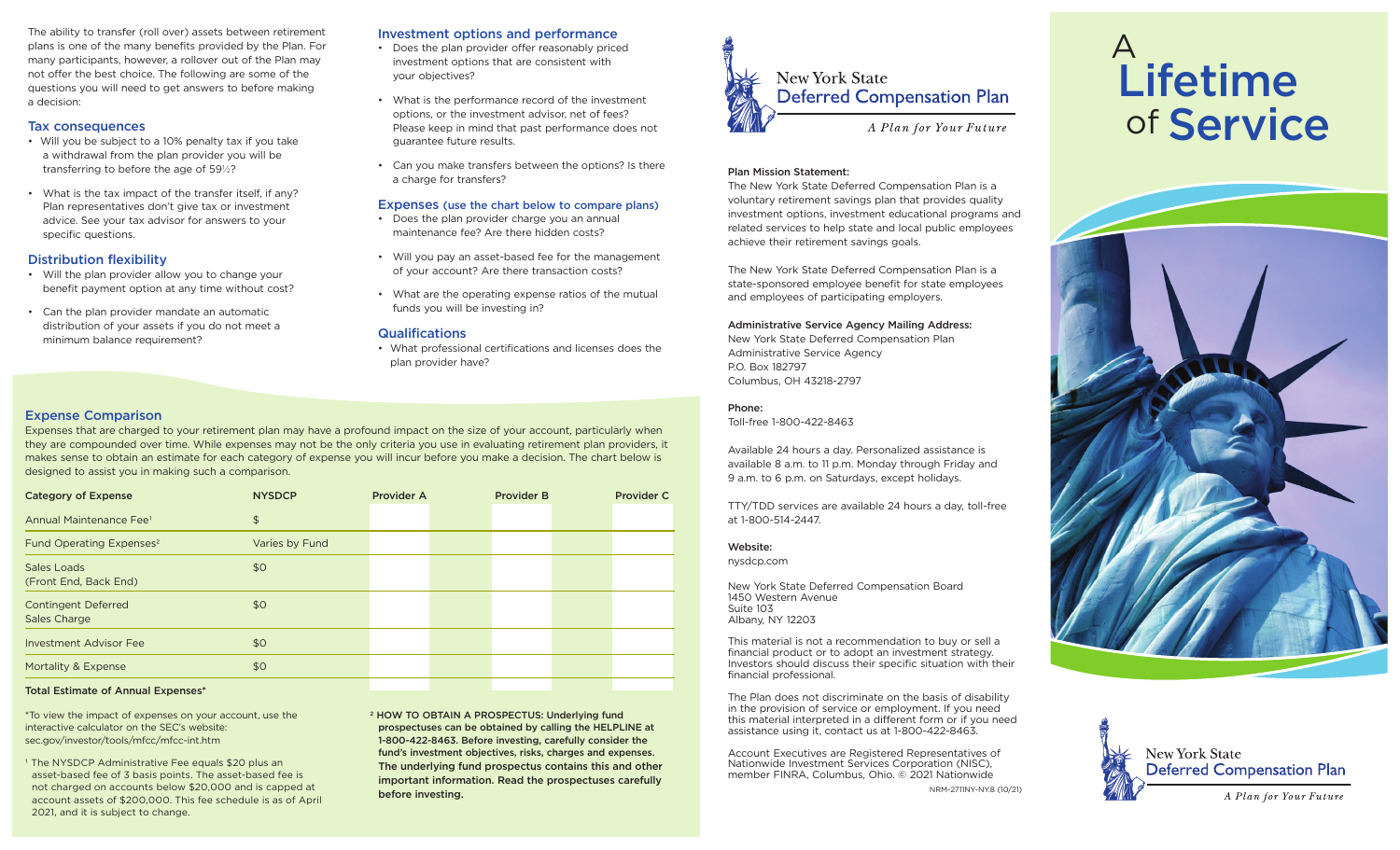The ability to transfer (roll over) assets between retirement plans is one of the many benefits provided by the Plan. For many participants, however, a rollover out of the Plan may not offer the best choice. The following are some of the questions you will need to get answers to before making a decision:

### Tax consequences

- Will you be subject to a 10% penalty tax if you take a withdrawal from the plan provider you will be transferring to before the age of 59½?
- What is the tax impact of the transfer itself, if any? Plan representatives don't give tax or investment advice. See your tax advisor for answers to your specific questions.

# Distribution flexibility

- Will the plan provider allow you to change your benefit payment option at any time without cost?
- Can the plan provider mandate an automatic distribution of your assets if you do not meet a minimum balance requirement?

# Investment options and performance

- Does the plan provider offer reasonably priced investment options that are consistent with your objectives?
- What is the performance record of the investment options, or the investment advisor, net of fees? Please keep in mind that past performance does not guarantee future results.
- Can you make transfers between the options? Is there a charge for transfers?

### Expenses (use the chart below to compare plans)

- Does the plan provider charge you an annual maintenance fee? Are there hidden costs?
- Will you pay an asset-based fee for the management of your account? Are there transaction costs?
- What are the operating expense ratios of the mutual funds you will be investing in?

### **Qualifications**

• What professional certifications and licenses does the plan provider have?

# Expense Comparison

Expenses that are charged to your retirement plan may have a profound impact on the size of your account, particularly when they are compounded over time. While expenses may not be the only criteria you use in evaluating retirement plan providers, it makes sense to obtain an estimate for each category of expense you will incur before you make a decision. The chart below is designed to assist you in making such a comparison.

| <b>Category of Expense</b>                 | <b>NYSDCP</b>  | <b>Provider A</b> | <b>Provider B</b> | <b>Provider C</b> |
|--------------------------------------------|----------------|-------------------|-------------------|-------------------|
| Annual Maintenance Fee <sup>1</sup>        | $\frac{1}{2}$  |                   |                   |                   |
| Fund Operating Expenses <sup>2</sup>       | Varies by Fund |                   |                   |                   |
| Sales Loads<br>(Front End, Back End)       | \$0            |                   |                   |                   |
| <b>Contingent Deferred</b><br>Sales Charge | \$0            |                   |                   |                   |
| <b>Investment Advisor Fee</b>              | \$0            |                   |                   |                   |
| Mortality & Expense                        | \$0            |                   |                   |                   |
|                                            |                |                   |                   |                   |

### Total Estimate of Annual Expenses\*

\*To view the impact of expenses on your account, use the interactive calculator on the SEC's website: sec.gov/investor/tools/mfcc/mfcc-int.htm

<sup>1</sup> The NYSDCP Administrative Fee equals \$20 plus an asset-based fee of 3 basis points. The asset-based fee is not charged on accounts below \$20,000 and is capped at account assets of \$200,000. This fee schedule is as of April 2021, and it is subject to change.

2 HOW TO OBTAIN A PROSPECTUS: Underlying fund prospectuses can be obtained by calling the HELPLINE at 1-800-422-8463. Before investing, carefully consider the fund's investment objectives, risks, charges and expenses. The underlying fund prospectus contains this and other important information. Read the prospectuses carefully before investing.



### Plan Mission Statement:

The New York State Deferred Compensation Plan is a voluntary retirement savings plan that provides quality investment options, investment educational programs and related services to help state and local public employees achieve their retirement savings goals.

The New York State Deferred Compensation Plan is a state-sponsored employee benefit for state employees and employees of participating employers.

### Administrative Service Agency Mailing Address:

New York State Deferred Compensation Plan Administrative Service Agency P.O. Box 182797 Columbus, OH 43218-2797

### Phone:

Toll-free 1-800-422-8463

Available 24 hours a day. Personalized assistance is available 8 a.m. to 11 p.m. Monday through Friday and 9 a.m. to 6 p.m. on Saturdays, except holidays.

TTY/TDD services are available 24 hours a day, toll-free at 1-800-514-2447.

#### Website:

nysdcp.com

New York State Deferred Compensation Board 1450 Western Avenue Suite 103 Albany, NY 12203

This material is not a recommendation to buy or sell a financial product or to adopt an investment strategy. Investors should discuss their specific situation with their financial professional.

The Plan does not discriminate on the basis of disability in the provision of service or employment. If you need this material interpreted in a different form or if you need assistance using it, contact us at 1-800-422-8463.

Account Executives are Registered Representatives of Nationwide Investment Services Corporation (NISC), member FINRA, Columbus, Ohio. © 2021 Nationwide NRM-2711NY-NY.8 (10/21)

# A of Service Lifetime